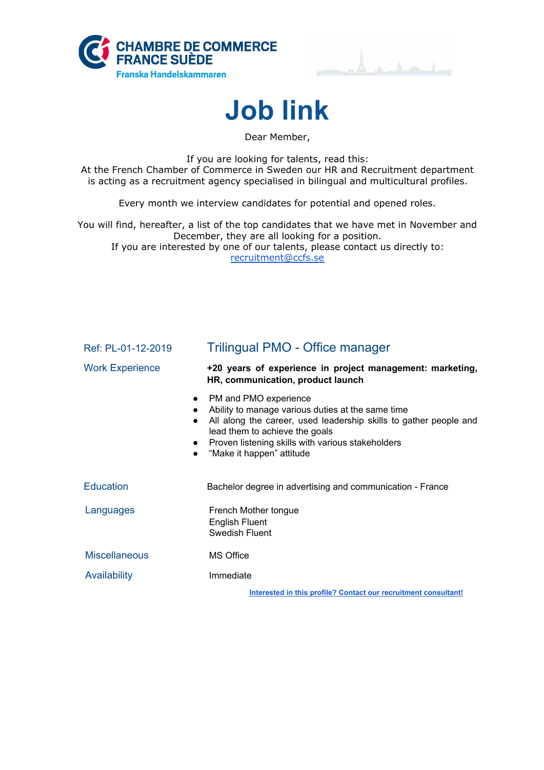





Dear Member,

If you are looking for talents, read this: At the French Chamber of Commerce in Sweden our HR and Recruitment department is acting as a recruitment agency specialised in bilingual and multicultural profiles.

Every month we interview candidates for potential and opened roles.

You will find, hereafter, a list of the top candidates that we have met in November and December, they are all looking for a position. If you are interested by one of our talents, please contact us directly to: [recruitment@ccfs.se](mailto:recruitment@ccfs.se)

| Ref: PL-01-12-2019     | Trilingual PMO - Office manager                                                                                                                                                                                                                                     |
|------------------------|---------------------------------------------------------------------------------------------------------------------------------------------------------------------------------------------------------------------------------------------------------------------|
| <b>Work Experience</b> | +20 years of experience in project management: marketing,<br>HR, communication, product launch                                                                                                                                                                      |
| $\bullet$              | PM and PMO experience<br>Ability to manage various duties at the same time<br>All along the career, used leadership skills to gather people and<br>lead them to achieve the goals<br>Proven listening skills with various stakeholders<br>"Make it happen" attitude |
| <b>Education</b>       | Bachelor degree in advertising and communication - France                                                                                                                                                                                                           |
| Languages              | French Mother tongue<br><b>English Fluent</b><br>Swedish Fluent                                                                                                                                                                                                     |
| <b>Miscellaneous</b>   | <b>MS Office</b>                                                                                                                                                                                                                                                    |
| Availability           | Immediate                                                                                                                                                                                                                                                           |
|                        | Interested in this profile? Contact our recruitment consultant!                                                                                                                                                                                                     |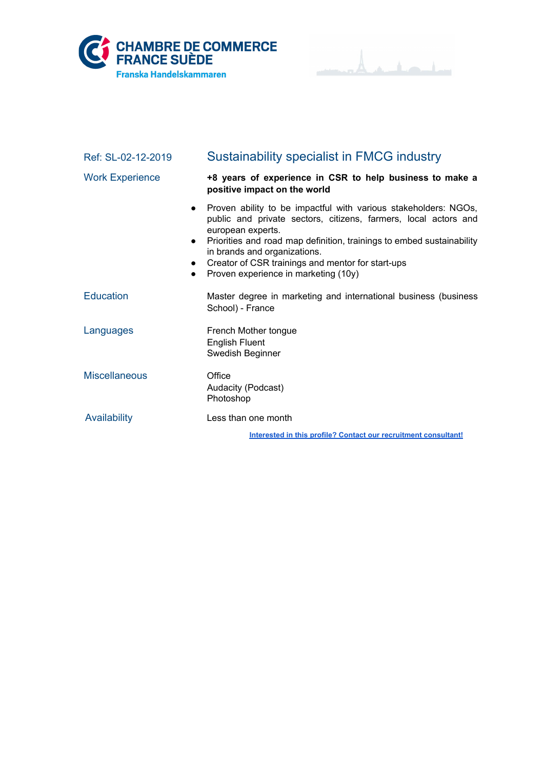COMMERCE DE COMMERCE Franska Handelskammaren



| Ref: SL-02-12-2019     | Sustainability specialist in FMCG industry                                                                                                                                                                                                                                                                                                                                                |
|------------------------|-------------------------------------------------------------------------------------------------------------------------------------------------------------------------------------------------------------------------------------------------------------------------------------------------------------------------------------------------------------------------------------------|
| <b>Work Experience</b> | +8 years of experience in CSR to help business to make a<br>positive impact on the world                                                                                                                                                                                                                                                                                                  |
|                        | • Proven ability to be impactful with various stakeholders: NGOs,<br>public and private sectors, citizens, farmers, local actors and<br>european experts.<br>Priorities and road map definition, trainings to embed sustainability<br>$\bullet$<br>in brands and organizations.<br>Creator of CSR trainings and mentor for start-ups<br>Proven experience in marketing (10y)<br>$\bullet$ |
| <b>Education</b>       | Master degree in marketing and international business (business<br>School) - France                                                                                                                                                                                                                                                                                                       |
| Languages              | French Mother tongue<br><b>English Fluent</b><br>Swedish Beginner                                                                                                                                                                                                                                                                                                                         |
| <b>Miscellaneous</b>   | Office<br>Audacity (Podcast)<br>Photoshop                                                                                                                                                                                                                                                                                                                                                 |
| Availability           | Less than one month                                                                                                                                                                                                                                                                                                                                                                       |
|                        | Interested in this profile? Contact our recruitment consultant!                                                                                                                                                                                                                                                                                                                           |